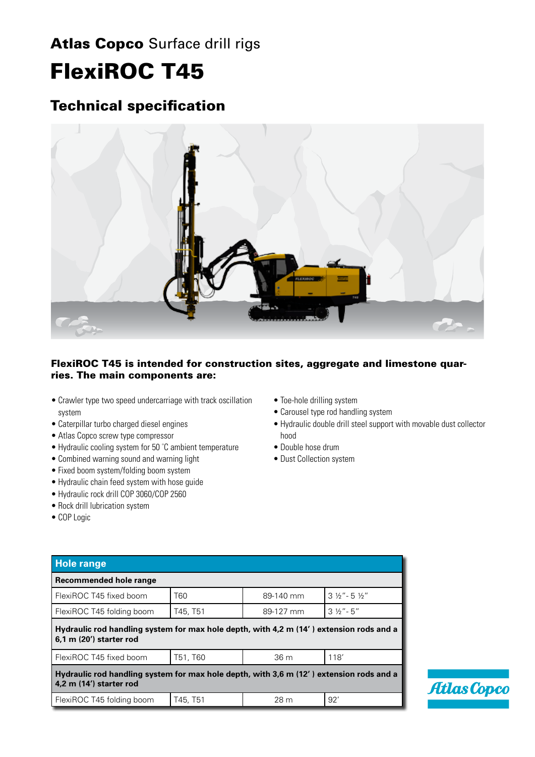## Atlas Copco Surface drill rigs FlexiROC T45

## Technical specification



### FlexiROC T45 is intended for construction sites, aggregate and limestone quarries. The main components are:

- Crawler type two speed undercarriage with track oscillation system
- • Caterpillar turbo charged diesel engines
- Atlas Copco screw type compressor
- Hydraulic cooling system for 50 °C ambient temperature
- Combined warning sound and warning light
- Fixed boom system/folding boom system
- • Hydraulic chain feed system with hose guide
- • Hydraulic rock drill COP 3060/COP 2560
- Rock drill lubrication system
- • COP Logic
- Toe-hole drilling system
- Carousel type rod handling system
- • Hydraulic double drill steel support with movable dust collector hood
- Double hose drum
- Dust Collection system

| <b>Hole range</b>                                                                                                  |          |           |                                     |  |  |  |
|--------------------------------------------------------------------------------------------------------------------|----------|-----------|-------------------------------------|--|--|--|
| <b>Recommended hole range</b>                                                                                      |          |           |                                     |  |  |  |
| FlexiROC T45 fixed boom                                                                                            | T60      | 89-140 mm | $3\frac{1}{2}$ "- 5 $\frac{1}{2}$ " |  |  |  |
| FlexiROC T45 folding boom                                                                                          | T45, T51 | 89-127 mm | $3\frac{1}{2}$ "- $5$ "             |  |  |  |
| Hydraulic rod handling system for max hole depth, with 4,2 m (14') extension rods and a<br>6,1 m (20') starter rod |          |           |                                     |  |  |  |
| FlexiROC T45 fixed boom                                                                                            | T51, T60 | 36 m      | 118'                                |  |  |  |
| Hydraulic rod handling system for max hole depth, with 3,6 m (12') extension rods and a<br>4,2 m (14') starter rod |          |           |                                     |  |  |  |
| FlexiROC T45 folding boom                                                                                          | T45, T51 | 28 m      | 92'                                 |  |  |  |

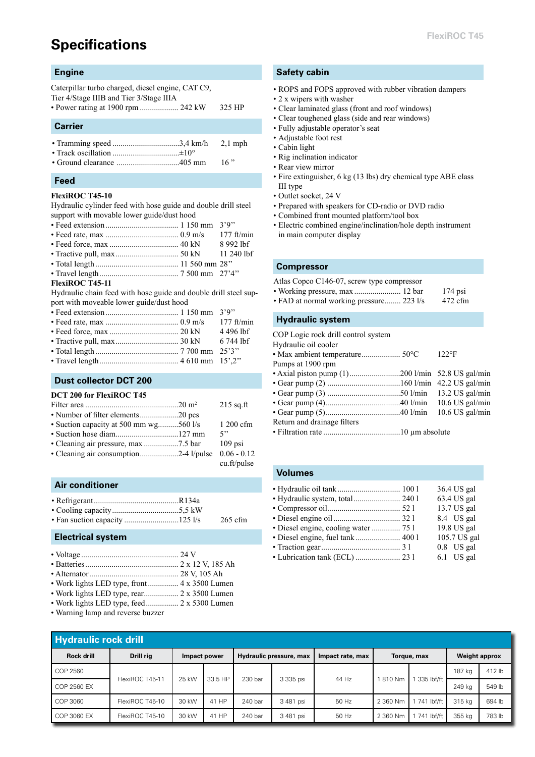## **Specifications**

#### **Engine**

Caterpillar turbo charged, diesel engine, CAT C9,

Tier 4/Stage IIIB and Tier 3/Stage IIIA

• Power rating at 1900 rpm ......................... 242 kW 325 HP

#### **Carrier**

• Ground clearance ...............................405 mm 16 "

#### **Feed**

#### **FlexiROC T45-10**

Hydraulic cylinder feed with hose guide and double drill steel support with movable lower guide/dust hood

- Feed extension.................................... 1 150 mm 3'9''
- Feed rate, max .................................... 0.9 m/s 177 ft/min
- Feed force, max .................................. 40 kN 8 992 lbf
- Tractive pull, max............................... 50 kN 11 240 lbf
- Total length ......................................... 11 560 mm 28''
- Travel length....................................... 7 500 mm 27'4''

#### **FlexiROC T45-11**

Hydraulic chain feed with hose guide and double drill steel support with moveable lower guide/dust hood

#### **Dust collector DCT 200**

#### **DCT 200 for FlexiROC T45**

|                                        | $215$ sq.ft |
|----------------------------------------|-------------|
| • Number of filter elements20 pcs      |             |
| • Suction capacity at 500 mm wg560 l/s | 1 200 cfm   |
|                                        | 5"          |
|                                        | $109$ psi   |
|                                        |             |

• Cleaning air consumption...................2-4 l/pulse 0.06 - 0.12 cu.ft/pulse

#### **Air conditioner**

- Refrigerant..........................................R134a
- Cooling capacity.................................5,5 kW
- Fan suction capacity ...............................125 l/s 265 cfm

#### **Electrical system**

|--|--|--|

- Batteries.............................................. 2 x 12 V, 185 Ah • Alternator............................................ 28 V, 105 Ah
- Work lights LED type, front............... 4 x 3500 Lumen
- Work lights LED type, rear................. 2 x 3500 Lumen
- Work lights LED type, feed................ 2 x 5300 Lumen
- Warning lamp and reverse buzzer

#### **Safety cabin**

- ROPS and FOPS approved with rubber vibration dampers
- 2 x wipers with washer
- Clear laminated glass (front and roof windows)
- Clear toughened glass (side and rear windows)
- Fully adjustable operator's seat
- Adjustable foot rest
- Cabin light
- Rig inclination indicator
- Rear view mirror
- Fire extinguisher, 6 kg (13 lbs) dry chemical type ABE class III type
- Outlet socket, 24 V
- Prepared with speakers for CD-radio or DVD radio
- Combined front mounted platform/tool box
- Electric combined engine/inclination/hole depth instrument in main computer display

#### **Compressor**

| Atlas Copco C146-07, screw type compressor |  |
|--------------------------------------------|--|
|--------------------------------------------|--|

- Working pressure, max ................................ 12 bar 174 psi
- FAD at normal working pressure........ 223 l/s 472 cfm

#### **Hydraulic system**

COP Logic rock drill control system

| Hydraulic oil cooler        |                |
|-----------------------------|----------------|
|                             | $122^{\circ}F$ |
| Pumps at 1900 rpm           |                |
|                             |                |
|                             |                |
|                             |                |
|                             |                |
|                             |                |
| Return and drainage filters |                |
|                             |                |
|                             |                |

#### **Volumes**

|                                      | 36.4 US gal  |
|--------------------------------------|--------------|
| · Hydraulic system, total  240 1     | 63.4 US gal  |
|                                      | 13.7 US gal  |
|                                      | 8.4 US gal   |
| · Diesel engine, cooling water  75 l | 19.8 US gal  |
| · Diesel engine, fuel tank  400 1    | 105.7 US gal |
|                                      | $0.8$ US gal |
| • Lubrication tank (ECL)  23 1       | $6.1$ US gal |
|                                      |              |

| <b>Hydraulic rock drill</b> |                 |                                         |         |                  |             |       |                      |              |        |        |
|-----------------------------|-----------------|-----------------------------------------|---------|------------------|-------------|-------|----------------------|--------------|--------|--------|
| <b>Rock drill</b>           | Drill ria       | Hydraulic pressure, max<br>Impact power |         | Impact rate, max | Torque, max |       | <b>Weight approx</b> |              |        |        |
| COP 2560                    | FlexiROC T45-11 | 25 kW                                   | 33.5 HP | 230 bar          | 3 335 psi   | 44 Hz | 810 Nm               | 335 lbf/ft   | 187 kg | 412 lb |
| COP 2560 EX                 |                 |                                         |         |                  |             |       |                      |              | 249 ka | 549 lb |
| COP 3060                    | FlexiROC T45-10 | 30 kW                                   | 41 HP   | 240 bar          | 3 481 psi   | 50 Hz | 2 360 Nm             | 1 741 lbf/ft | 315 kg | 694 lb |
| COP 3060 EX                 | FlexiROC T45-10 | 30 kW                                   | 41 HP   | 240 bar          | 3 481 psi   | 50 Hz | 2 360 Nm             | 741 lbf/ft   | 355 kg | 783 lb |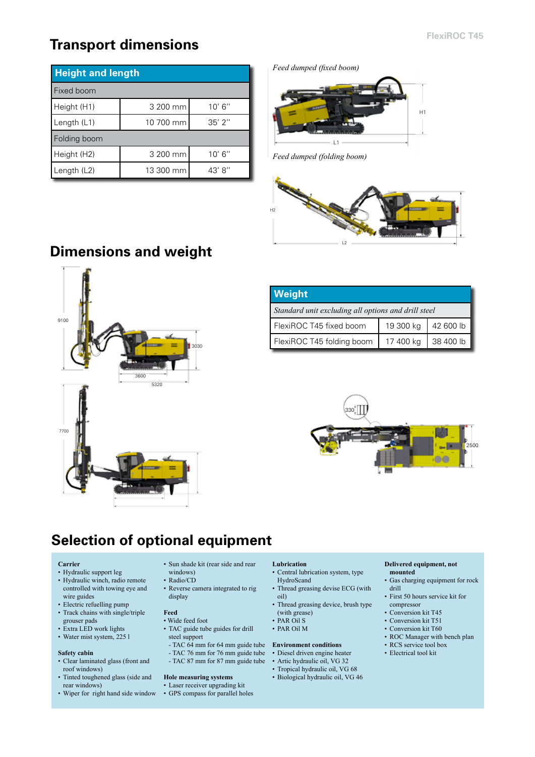## **Transport dimensions**

| <b>Height and length</b> |           |             |  |  |
|--------------------------|-----------|-------------|--|--|
| Fixed boom               |           |             |  |  |
| Height (H1)              | 3 200 mm  | 10' 6''     |  |  |
| Length (L1)              | 10 700 mm | $35'$ $2''$ |  |  |
| Folding boom             |           |             |  |  |
| Height (H2)              | 3 200 mm  | 10' 6''     |  |  |
| Length $(L2)$            | 13 300 mm | 43' 8"      |  |  |

*Feed dumped (fixed boom)* 



*Feed dumped (folding boom)*



# **Dimensions and weight**



| <b>Weight</b>                                       |           |           |  |  |  |
|-----------------------------------------------------|-----------|-----------|--|--|--|
| Standard unit excluding all options and drill steel |           |           |  |  |  |
| FlexiROC T45 fixed boom                             | 19 300 kg | 42600 lb  |  |  |  |
| FlexiROC T45 folding boom                           | 17 400 kg | 38 400 lb |  |  |  |



## **Selection of optional equipment**

#### **Carrier**

- Hydraulic support leg
- Hydraulic winch, radio remote controlled with towing eye and wire guides
- Electric refuelling pump
- Track chains with single/triple grouser pads
- Extra LED work lights
- Water mist system, 225 l

#### **Safety cabin**

- Clear laminated glass (front and roof windows)
- Tinted toughened glass (side and rear windows)
- Wiper for right hand side window
- Sun shade kit (rear side and rear
- windows)
- Radio/CD
- Reverse camera integrated to rig display

#### **Feed**

- Wide feed foot
- TAC guide tube guides for drill steel support
	-
- TAC 76 mm for 76 mm guide tube
- TAC 87 mm for 87 mm guide tube

#### **Hole measuring systems** • Laser receiver upgrading kit

• GPS compass for parallel holes

#### **Lubrication**

- Central lubrication system, type HydroScand
- Thread greasing devise ECG (with oil)
- Thread greasing device, brush type (with grease)
- PAR Oil S
- PAR Oil M

#### - TAC 64 mm for 64 mm guide tube **Environment conditions**

- Diesel driven engine heater
- Artic hydraulic oil, VG 32
- Tropical hydraulic oil, VG 68
- Biological hydraulic oil, VG 46

#### **Delivered equipment, not mounted**

- Gas charging equipment for rock drill
- First 50 hours service kit for compressor
- Conversion kit T45
- Conversion kit T51
- Conversion kit T60
- ROC Manager with bench plan
- RCS service tool box
- Electrical tool kit